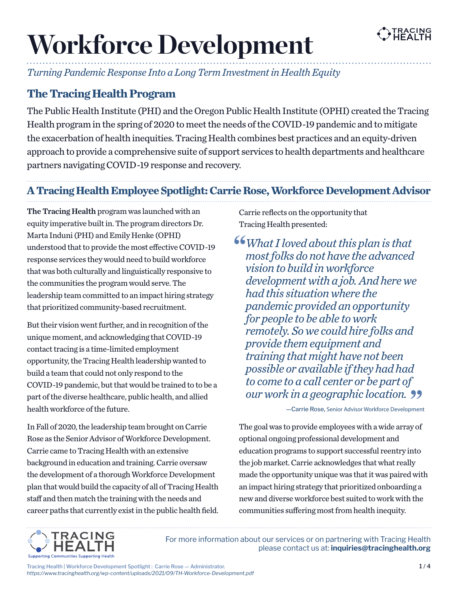

# **Workforce Development**

*Turning Pandemic Response Into a Long Term Investment in Health Equity*

# **The Tracing Health Program**

The Public Health Institute (PHI) and the Oregon Public Health Institute (OPHI) created the Tracing Health program in the spring of 2020 to meet the needs of the COVID-19 pandemic and to mitigate the exacerbation of health inequities. Tracing Health combines best practices and an equity-driven approach to provide a comprehensive suite of support services to health departments and healthcare partners navigating COVID-19 response and recovery.

# **A Tracing Health Employee Spotlight: Carrie Rose, Workforce Development Advisor**

The Tracing Health program was launched with an equity imperative built in. The program directors Dr. Marta Induni (PHI) and Emily Henke (OPHI) understood that to provide the most effective COVID-19 response services they would need to build workforce that was both culturally and linguistically responsive to the communities the program would serve. The leadership team committed to an impact hiring strategy that prioritized community-based recruitment.

But their vision went further, and in recognition of the unique moment, and acknowledging that COVID-19 contact tracing is a time-limited employment opportunity, the Tracing Health leadership wanted to build a team that could not only respond to the COVID-19 pandemic, but that would be trained to to be a part of the diverse healthcare, public health, and allied health workforce of the future.

In Fall of 2020, the leadership team brought on Carrie Rose as the Senior Advisor of Workforce Development. Carrie came to Tracing Health with an extensive background in education and training. Carrie oversaw the development of a thorough Workforce Development plan that would build the capacity of all of Tracing Health staff and then match the training with the needs and career paths that currently exist in the public health field. Carrie reflects on the opportunity that Tracing Health presented:

*What I loved about this plan is that most folks do not have the advanced vision to build in workforce development with a job. And here we had this situation where the pandemic provided an opportunity for people to be able to work remotely. So we could hire folks and provide them equipment and training that might have not been possible or available if they had had to come to a call center or be part of our work in a geographic location.*

—Carrie Rose, Senior Advisor Workforce Development

The goal was to provide employees with a wide array of optional ongoing professional development and education programs to support successful reentry into the job market. Carrie acknowledges that what really made the opportunity unique was that it was paired with an impact hiring strategy that prioritized onboarding a new and diverse workforce best suited to work with the communities suffering most from health inequity.



For more information about our services or on partnering with Tracing Health please contact us at: inquiries@tracinghealth.org

Tracing Health | Workforce Development Spotlight : Carrie Rose — Administrator. *https://www.tracinghealth.org/wp-content/uploads/2021/09/TH-Workforce-Development.pdf*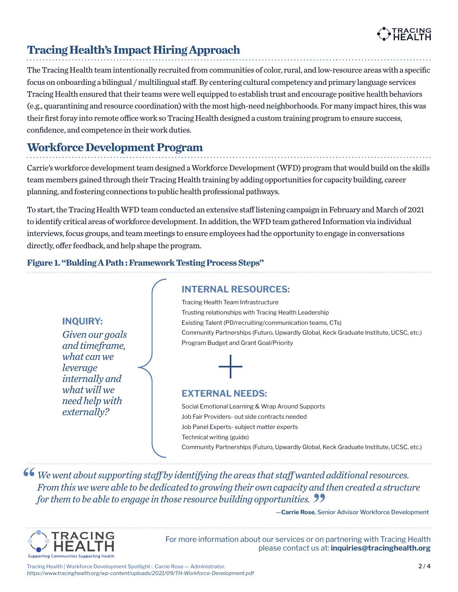

# **Tracing Health's Impact Hiring Approach**

The Tracing Health team intentionally recruited from communities of color, rural, and low-resource areas with a specific focus on onboarding a bilingual / multilingual staff. By centering cultural competency and primary language services Tracing Health ensured that their teams were well equipped to establish trust and encourage positive health behaviors (e.g., quarantining and resource coordination) with the most high-need neighborhoods. For many impact hires, this was their first foray into remote office work so Tracing Health designed a custom training program to ensure success, confidence, and competence in their work duties.

# **Workforce Development Program**

*Given our goals and timeframe, what can we leverage*

INQUIRY:

*internally and what will we need help with externally?*

Carrie's workforce development team designed a Workforce Development (WFD) program that would build on the skills team members gained through their Tracing Health training by adding opportunities for capacity building, career planning, and fostering connections to public health professional pathways.

To start, the Tracing Health WFD team conducted an extensive staff listening campaign in February and March of 2021 to identify critical areas of workforce development. In addition, the WFD team gathered Information via individual interviews, focus groups, and team meetings to ensure employees had the opportunity to engage in conversations directly, offer feedback, and help shape the program.

INTERNAL RESOURCES:

## **Figure 1. "Bulding A Path : Framework Testing Process Steps"**

#### Tracing Health Team Infrastructure

Trusting relationships with Tracing Health Leadership Existing Talent (PD/recruiting/communication teams, CTs) Community Partnerships (Futuro, Upwardly Global, Keck Graduate Institute, UCSC, etc.) Program Budget and Grant Goal/Priority

### EXTERNAL NEEDS:

Social Emotional Learning & Wrap Around Supports Job Fair Providers- out side contracts needed Job Panel Experts- subject matter experts Technical writing (guide) Community Partnerships (Futuro, Upwardly Global, Keck Graduate Institute, UCSC, etc.)

**66** We went about supporting staff by identifying the areas that staff wanted additional resources. *From this we were able to be dedicated to growing their own capacity and then created a structure for them to be able to engage in those resource building opportunities.*

—Carrie Rose, Senior Advisor Workforce Development



For more information about our services or on partnering with Tracing Health please contact us at: inquiries@tracinghealth.org

Tracing Health | Workforce Development Spotlight : Carrie Rose — Administrator. *https://www.tracinghealth.org/wp-content/uploads/2021/09/TH-Workforce-Development.pdf*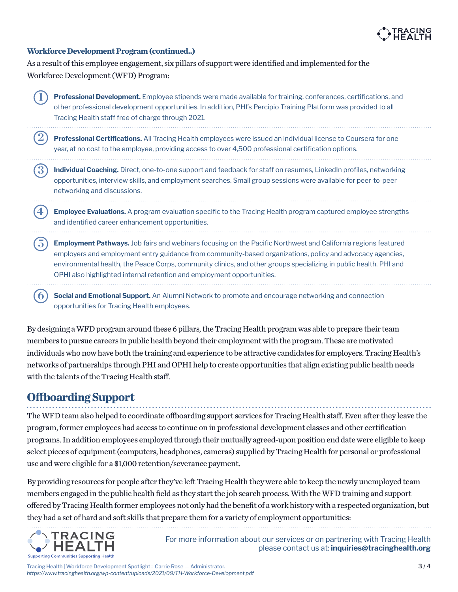

#### **Workforce Development Program (continued..)**

**2**

As a result of this employee engagement, six pillars of support were identified and implemented for the Workforce Development (WFD) Program:

**1 Professional Development.** Employee stipends were made available for training, conferences, certifications, and other professional development opportunities. In addition, PHI's Percipio Training Platform was provided to all Tracing Health staff free of charge through 2021.

**Professional Certifications.** All Tracing Health employees were issued an individual license to Coursera for one year, at no cost to the employee, providing access to over 4,500 professional certification options.

**3** Individual Coaching. Direct, one-to-one support and feedback for staff on resumes, LinkedIn profiles, networking opportunities, interview skills, and employment searches. Small group sessions were available for peer-to-peer networking and discussions.

**4 Employee Evaluations.** A program evaluation specific to the Tracing Health program captured employee strengths and identified career enhancement opportunities.

**5 Employment Pathways.** Job fairs and webinars focusing on the Pacific Northwest and California regions featured employers and employment entry guidance from community-based organizations, policy and advocacy agencies, environmental health, the Peace Corps, community clinics, and other groups specializing in public health. PHI and OPHI also highlighted internal retention and employment opportunities.

**6 Social and Emotional Support.** An Alumni Network to promote and encourage networking and connection opportunities for Tracing Health employees.

By designing a WFD program around these 6 pillars, the Tracing Health program was able to prepare their team members to pursue careers in public health beyond their employment with the program. These are motivated individuals who now have both the training and experience to be attractive candidates for employers. Tracing Health's networks of partnerships through PHI and OPHI help to create opportunities that align existing public health needs with the talents of the Tracing Health staff.

# **Offboarding Support**

The WFD team also helped to coordinate offboarding support services for Tracing Health staff. Even after they leave the program, former employees had access to continue on in professional development classes and other certification programs. In addition employees employed through their mutually agreed-upon position end date were eligible to keep select pieces of equipment (computers, headphones, cameras) supplied by Tracing Health for personal or professional use and were eligible for a \$1,000 retention/severance payment.

By providing resources for people after they've left Tracing Health they were able to keep the newly unemployed team members engaged in the public health field as they start the job search process. With the WFD training and support offered by Tracing Health former employees not only had the benefit of a work history with a respected organization, but they had a set of hard and soft skills that prepare them for a variety of employment opportunities:



For more information about our services or on partnering with Tracing Health please contact us at: inquiries@tracinghealth.org

Tracing Health | Workforce Development Spotlight : Carrie Rose — Administrator. *https://www.tracinghealth.org/wp-content/uploads/2021/09/TH-Workforce-Development.pdf*